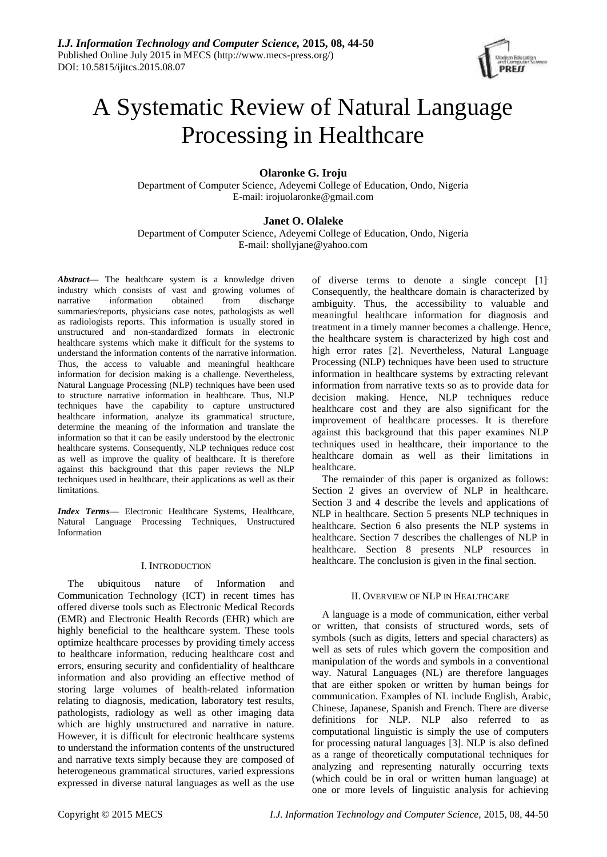

# A Systematic Review of Natural Language Processing in Healthcare

# **Olaronke G. Iroju**

Department of Computer Science, Adeyemi College of Education, Ondo, Nigeria E-mail: [irojuolaronke@gmail.com](mailto:irojuolaronke@gmail.com)

# **Janet O. Olaleke**

Department of Computer Science, Adeyemi College of Education, Ondo, Nigeria E-mail[: shollyjane@yahoo.com](mailto:shollyjane@yahoo.com)

*Abstract***—** The healthcare system is a knowledge driven industry which consists of vast and growing volumes of narrative information obtained from discharge summaries/reports, physicians case notes, pathologists as well as radiologists reports. This information is usually stored in unstructured and non-standardized formats in electronic healthcare systems which make it difficult for the systems to understand the information contents of the narrative information. Thus, the access to valuable and meaningful healthcare information for decision making is a challenge. Nevertheless, Natural Language Processing (NLP) techniques have been used to structure narrative information in healthcare. Thus, NLP techniques have the capability to capture unstructured healthcare information, analyze its grammatical structure, determine the meaning of the information and translate the information so that it can be easily understood by the electronic healthcare systems. Consequently, NLP techniques reduce cost as well as improve the quality of healthcare. It is therefore against this background that this paper reviews the NLP techniques used in healthcare, their applications as well as their limitations.

*Index Terms***—** Electronic Healthcare Systems, Healthcare, Natural Language Processing Techniques, Unstructured Information

## I. INTRODUCTION

The ubiquitous nature of Information and Communication Technology (ICT) in recent times has offered diverse tools such as Electronic Medical Records (EMR) and Electronic Health Records (EHR) which are highly beneficial to the healthcare system. These tools optimize healthcare processes by providing timely access to healthcare information, reducing healthcare cost and errors, ensuring security and confidentiality of healthcare information and also providing an effective method of storing large volumes of health-related information relating to diagnosis, medication, laboratory test results, pathologists, radiology as well as other imaging data which are highly unstructured and narrative in nature. However, it is difficult for electronic healthcare systems to understand the information contents of the unstructured and narrative texts simply because they are composed of heterogeneous grammatical structures, varied expressions expressed in diverse natural languages as well as the use

of diverse terms to denote a single concept [1]. Consequently, the healthcare domain is characterized by ambiguity. Thus, the accessibility to valuable and meaningful healthcare information for diagnosis and treatment in a timely manner becomes a challenge. Hence, the healthcare system is characterized by high cost and high error rates [2]. Nevertheless, Natural Language Processing (NLP) techniques have been used to structure information in healthcare systems by extracting relevant information from narrative texts so as to provide data for decision making. Hence, NLP techniques reduce healthcare cost and they are also significant for the improvement of healthcare processes. It is therefore against this background that this paper examines NLP techniques used in healthcare, their importance to the healthcare domain as well as their limitations in healthcare.

The remainder of this paper is organized as follows: Section 2 gives an overview of NLP in healthcare. Section 3 and 4 describe the levels and applications of NLP in healthcare. Section 5 presents NLP techniques in healthcare. Section 6 also presents the NLP systems in healthcare. Section 7 describes the challenges of NLP in healthcare. Section 8 presents NLP resources in healthcare. The conclusion is given in the final section.

# II. OVERVIEW OF NLP IN HEALTHCARE

A language is a mode of communication, either verbal or written, that consists of structured words, sets of symbols (such as digits, letters and special characters) as well as sets of rules which govern the composition and manipulation of the words and symbols in a conventional way. Natural Languages (NL) are therefore languages that are either spoken or written by human beings for communication. Examples of NL include English, Arabic, Chinese, Japanese, Spanish and French. There are diverse definitions for NLP. NLP also referred to as computational linguistic is simply the use of computers for processing natural languages [3]. NLP is also defined as a range of theoretically computational techniques for analyzing and representing naturally occurring texts (which could be in oral or written human language) at one or more levels of linguistic analysis for achieving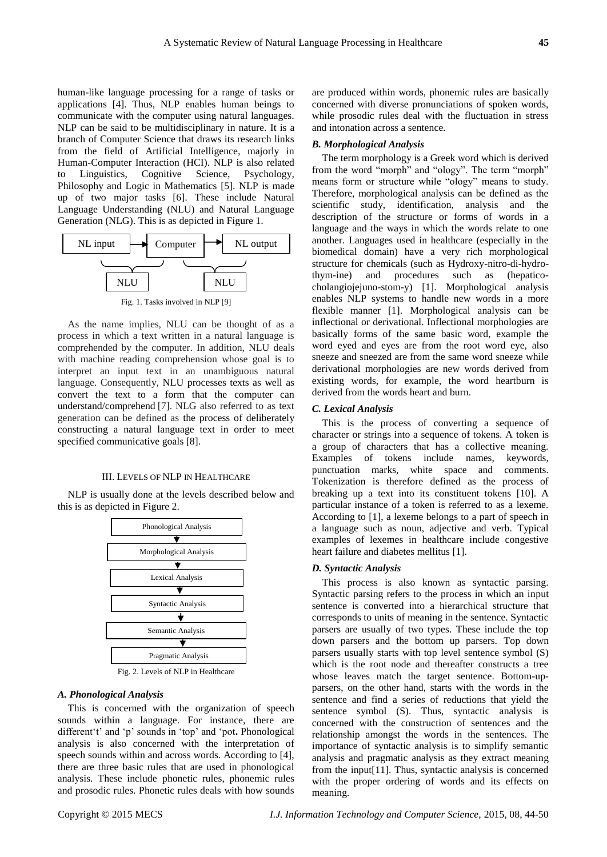human-like language processing for a range of tasks or applications [4]. Thus, NLP enables human beings to communicate with the computer using natural languages. NLP can be said to be multidisciplinary in nature. It is a branch of Computer Science that draws its research links from the field of Artificial Intelligence, majorly in Human-Computer Interaction (HCI). NLP is also related to Linguistics, Cognitive Science, Psychology, Philosophy and Logic in Mathematics [5]. NLP is made up of two major tasks [6]. These include Natural Language Understanding (NLU) and Natural Language Generation (NLG). This is as depicted in Figure 1.



As the name implies, NLU can be thought of as a process in which a text written in a natural language is comprehended by the computer. In addition, NLU deals with machine reading comprehension whose goal is to interpret an input text in an unambiguous natural language. Consequently, NLU processes texts as well as convert the text to a form that the computer can understand/comprehend [7]. NLG also referred to as text generation can be defined as the process of deliberately constructing a natural language text in order to meet specified communicative goals [8].

#### III. LEVELS OF NLP IN HEALTHCARE

NLP is usually done at the levels described below and this is as depicted in Figure 2.



Fig. 2. Levels of NLP in Healthcare

# *A. Phonological Analysis*

This is concerned with the organization of speech sounds within a language. For instance, there are different't' and 'p' sounds in 'top' and 'pot**.** Phonological analysis is also concerned with the interpretation of speech sounds within and across words. According to [4], there are three basic rules that are used in phonological analysis. These include phonetic rules, phonemic rules and prosodic rules. Phonetic rules deals with how sounds

are produced within words, phonemic rules are basically concerned with diverse pronunciations of spoken words, while prosodic rules deal with the fluctuation in stress and intonation across a sentence.

#### *B. Morphological Analysis*

The term morphology is a Greek word which is derived from the word "morph" and "ology". The term "morph" means form or structure while "ology" means to study. Therefore, morphological analysis can be defined as the scientific study, identification, analysis and the description of the structure or forms of words in a language and the ways in which the words relate to one another. Languages used in healthcare (especially in the biomedical domain) have a very rich morphological structure for chemicals (such as Hydroxy-nitro-di-hydrothym-ine) and procedures such as (hepaticocholangiojejuno-stom-y) [1]. Morphological analysis enables NLP systems to handle new words in a more flexible manner [1]. Morphological analysis can be inflectional or derivational. Inflectional morphologies are basically forms of the same basic word, example the word eyed and eyes are from the root word eye, also sneeze and sneezed are from the same word sneeze while derivational morphologies are new words derived from existing words, for example, the word heartburn is derived from the words heart and burn.

#### *C. Lexical Analysis*

This is the process of converting a sequence of character or strings into a sequence of tokens. A token is a group of characters that has a collective meaning. Examples of tokens include names, keywords, punctuation marks, white space and comments. Tokenization is therefore defined as the process of breaking up a text into its constituent tokens [10]. A particular instance of a token is referred to as a lexeme. According to [1], a lexeme belongs to a part of speech in a language such as noun, adjective and verb. Typical examples of lexemes in healthcare include congestive heart failure and diabetes mellitus [1].

#### *D. Syntactic Analysis*

This process is also known as syntactic parsing. Syntactic parsing refers to the process in which an input sentence is converted into a hierarchical structure that corresponds to units of meaning in the sentence. Syntactic parsers are usually of two types. These include the top down parsers and the bottom up parsers. Top down parsers usually starts with top level sentence symbol (S) which is the root node and thereafter constructs a tree whose leaves match the target sentence. Bottom-upparsers, on the other hand, starts with the words in the sentence and find a series of reductions that yield the sentence symbol (S). Thus, syntactic analysis is concerned with the construction of sentences and the relationship amongst the words in the sentences. The importance of syntactic analysis is to simplify semantic analysis and pragmatic analysis as they extract meaning from the input[11]. Thus, syntactic analysis is concerned with the proper ordering of words and its effects on meaning.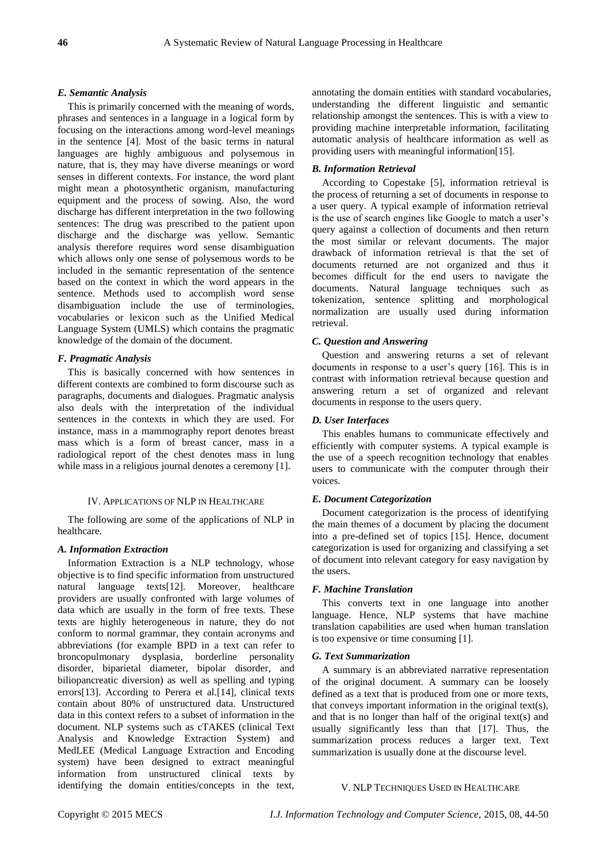## *E. Semantic Analysis*

This is primarily concerned with the meaning of words, phrases and sentences in a language in a logical form by focusing on the interactions among word-level meanings in the sentence [4]. Most of the basic terms in natural languages are highly ambiguous and polysemous in nature, that is, they may have diverse meanings or word senses in different contexts. For instance, the word plant might mean a photosynthetic organism, manufacturing equipment and the process of sowing. Also, the word discharge has different interpretation in the two following sentences: The drug was prescribed to the patient upon discharge and the discharge was yellow. Semantic analysis therefore requires word sense disambiguation which allows only one sense of polysemous words to be included in the semantic representation of the sentence based on the context in which the word appears in the sentence. Methods used to accomplish word sense disambiguation include the use of terminologies, vocabularies or lexicon such as the Unified Medical Language System (UMLS) which contains the pragmatic knowledge of the domain of the document.

## *F. Pragmatic Analysis*

This is basically concerned with how sentences in different contexts are combined to form discourse such as paragraphs, documents and dialogues. Pragmatic analysis also deals with the interpretation of the individual sentences in the contexts in which they are used. For instance, mass in a mammography report denotes breast mass which is a form of breast cancer, mass in a radiological report of the chest denotes mass in lung while mass in a religious journal denotes a ceremony [1].

## IV. APPLICATIONS OF NLP IN HEALTHCARE

The following are some of the applications of NLP in healthcare.

## *A. Information Extraction*

Information Extraction is a NLP technology, whose objective is to find specific information from unstructured natural language texts[12]. Moreover, healthcare providers are usually confronted with large volumes of data which are usually in the form of free texts. These texts are highly heterogeneous in nature, they do not conform to normal grammar, they contain acronyms and abbreviations (for example BPD in a text can refer to broncopulmonary dysplasia, borderline personality disorder, biparietal diameter, bipolar disorder, and biliopancreatic diversion) as well as spelling and typing errors[13]. According to Perera et al.[14], clinical texts contain about 80% of unstructured data. Unstructured data in this context refers to a subset of information in the document. NLP systems such as cTAKES (clinical Text Analysis and Knowledge Extraction System) and MedLEE (Medical Language Extraction and Encoding system) have been designed to extract meaningful information from unstructured clinical texts by identifying the domain entities/concepts in the text,

annotating the domain entities with standard vocabularies, understanding the different linguistic and semantic relationship amongst the sentences. This is with a view to providing machine interpretable information, facilitating automatic analysis of healthcare information as well as providing users with meaningful information[15].

## *B. Information Retrieval*

According to Copestake [5], information retrieval is the process of returning a set of documents in response to a user query. A typical example of information retrieval is the use of search engines like Google to match a user's query against a collection of documents and then return the most similar or relevant documents. The major drawback of information retrieval is that the set of documents returned are not organized and thus it becomes difficult for the end users to navigate the documents. Natural language techniques such as tokenization, sentence splitting and morphological normalization are usually used during information retrieval.

#### *C. Question and Answering*

Question and answering returns a set of relevant documents in response to a user's query [16]. This is in contrast with information retrieval because question and answering return a set of organized and relevant documents in response to the users query.

### *D. User Interfaces*

This enables humans to communicate effectively and efficiently with computer systems. A typical example is the use of a speech recognition technology that enables users to communicate with the computer through their voices.

#### *E. Document Categorization*

Document categorization is the process of identifying the main themes of a document by placing the document into a pre-defined set of topics [15]. Hence, document categorization is used for organizing and classifying a set of document into relevant category for easy navigation by the users.

## *F. Machine Translation*

This converts text in one language into another language. Hence, NLP systems that have machine translation capabilities are used when human translation is too expensive or time consuming [1].

#### *G. Text Summarization*

A summary is an abbreviated narrative representation of the original document. A summary can be loosely defined as a text that is produced from one or more texts, that conveys important information in the original text(s), and that is no longer than half of the original text(s) and usually significantly less than that [17]. Thus, the summarization process reduces a larger text. Text summarization is usually done at the discourse level.

#### V. NLP TECHNIQUES USED IN HEALTHCARE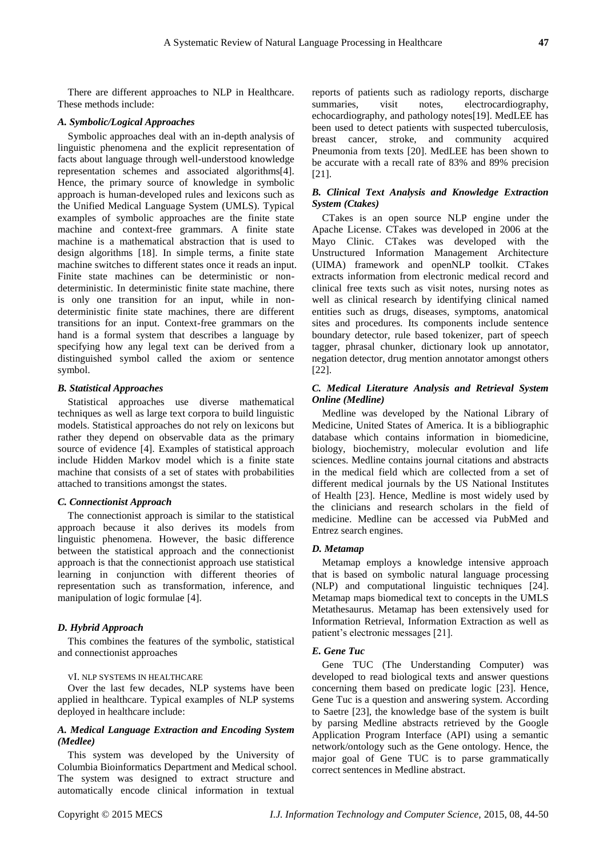There are different approaches to NLP in Healthcare. These methods include:

#### *A. Symbolic/Logical Approaches*

Symbolic approaches deal with an in-depth analysis of linguistic phenomena and the explicit representation of facts about language through well-understood knowledge representation schemes and associated algorithms[4]. Hence, the primary source of knowledge in symbolic approach is human-developed rules and lexicons such as the Unified Medical Language System (UMLS). Typical examples of symbolic approaches are the finite state machine and context-free grammars. A finite state machine is a mathematical abstraction that is used to design algorithms [18]. In simple terms, a finite state machine switches to different states once it reads an input. Finite state machines can be deterministic or nondeterministic. In deterministic finite state machine, there is only one transition for an input, while in nondeterministic finite state machines, there are different transitions for an input. Context-free grammars on the hand is a formal system that describes a language by specifying how any legal text can be derived from a distinguished symbol called the axiom or sentence symbol.

## *B. Statistical Approaches*

Statistical approaches use diverse mathematical techniques as well as large text corpora to build linguistic models. Statistical approaches do not rely on lexicons but rather they depend on observable data as the primary source of evidence [4]. Examples of statistical approach include Hidden Markov model which is a finite state machine that consists of a set of states with probabilities attached to transitions amongst the states.

#### *C. Connectionist Approach*

The connectionist approach is similar to the statistical approach because it also derives its models from linguistic phenomena. However, the basic difference between the statistical approach and the connectionist approach is that the connectionist approach use statistical learning in conjunction with different theories of representation such as transformation, inference, and manipulation of logic formulae [4].

## *D. Hybrid Approach*

This combines the features of the symbolic, statistical and connectionist approaches

#### VI. NLP SYSTEMS IN HEALTHCARE

Over the last few decades, NLP systems have been applied in healthcare. Typical examples of NLP systems deployed in healthcare include:

## *A. Medical Language Extraction and Encoding System (Medlee)*

This system was developed by the University of Columbia Bioinformatics Department and Medical school. The system was designed to extract structure and automatically encode clinical information in textual

reports of patients such as radiology reports, discharge summaries, visit notes, electrocardiography, echocardiography, and pathology notes[19]. MedLEE has been used to detect patients with suspected tuberculosis, breast cancer, stroke, and community acquired Pneumonia from texts [20]. MedLEE has been shown to be accurate with a recall rate of 83% and 89% precision [21].

## *B. Clinical Text Analysis and Knowledge Extraction System (Ctakes)*

CTakes is an open source NLP engine under the Apache License. CTakes was developed in 2006 at the Mayo Clinic. CTakes was developed with the Unstructured Information Management Architecture (UIMA) framework and openNLP toolkit. CTakes extracts information from electronic medical record and clinical free texts such as visit notes, nursing notes as well as clinical research by identifying clinical named entities such as drugs, diseases, symptoms, anatomical sites and procedures. Its components include sentence boundary detector, rule based tokenizer, part of speech tagger, phrasal chunker, dictionary look up annotator, negation detector, drug mention annotator amongst others [22].

## *C. Medical Literature Analysis and Retrieval System Online (Medline)*

Medline was developed by the National Library of Medicine, United States of America. It is a bibliographic database which contains information in biomedicine, biology, biochemistry, molecular evolution and life sciences. Medline contains journal citations and abstracts in the medical field which are collected from a set of different medical journals by the US National Institutes of Health [23]. Hence, Medline is most widely used by the clinicians and research scholars in the field of medicine. Medline can be accessed via PubMed and Entrez search engines.

#### *D. Metamap*

Metamap employs a knowledge intensive approach that is based on symbolic natural language processing (NLP) and computational linguistic techniques [24]. Metamap maps biomedical text to concepts in the UMLS Metathesaurus. Metamap has been extensively used for Information Retrieval, Information Extraction as well as patient's electronic messages [21].

#### *E. Gene Tuc*

Gene TUC (The Understanding Computer) was developed to read biological texts and answer questions concerning them based on predicate logic [23]. Hence, Gene Tuc is a question and answering system. According to Saetre [23], the knowledge base of the system is built by parsing Medline abstracts retrieved by the Google Application Program Interface (API) using a semantic network/ontology such as the Gene ontology. Hence, the major goal of Gene TUC is to parse grammatically correct sentences in Medline abstract.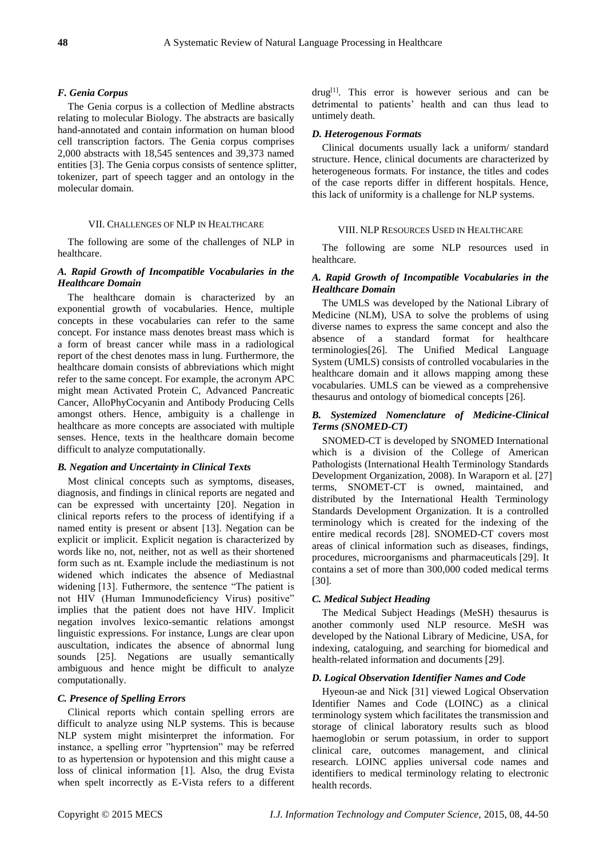## *F. Genia Corpus*

The Genia corpus is a collection of Medline abstracts relating to molecular Biology. The abstracts are basically hand-annotated and contain information on human blood cell transcription factors. The Genia corpus comprises 2,000 abstracts with 18,545 sentences and 39,373 named entities [3]. The Genia corpus consists of sentence splitter, tokenizer, part of speech tagger and an ontology in the molecular domain.

## VII. CHALLENGES OF NLP IN HEALTHCARE

The following are some of the challenges of NLP in healthcare.

# *A. Rapid Growth of Incompatible Vocabularies in the Healthcare Domain*

The healthcare domain is characterized by an exponential growth of vocabularies. Hence, multiple concepts in these vocabularies can refer to the same concept. For instance mass denotes breast mass which is a form of breast cancer while mass in a radiological report of the chest denotes mass in lung. Furthermore, the healthcare domain consists of abbreviations which might refer to the same concept. For example, the acronym APC might mean Activated Protein C, Advanced Pancreatic Cancer, AlloPhyCocyanin and Antibody Producing Cells amongst others. Hence, ambiguity is a challenge in healthcare as more concepts are associated with multiple senses. Hence, texts in the healthcare domain become difficult to analyze computationally.

#### *B. Negation and Uncertainty in Clinical Texts*

Most clinical concepts such as symptoms, diseases, diagnosis, and findings in clinical reports are negated and can be expressed with uncertainty [20]. Negation in clinical reports refers to the process of identifying if a named entity is present or absent [13]. Negation can be explicit or implicit. Explicit negation is characterized by words like no, not, neither, not as well as their shortened form such as nt. Example include the mediastinum is not widened which indicates the absence of Mediastnal widening [13]. Futhermore, the sentence "The patient is not HIV (Human Immunodeficiency Virus) positive" implies that the patient does not have HIV. Implicit negation involves lexico-semantic relations amongst linguistic expressions. For instance, Lungs are clear upon auscultation, indicates the absence of abnormal lung sounds [25]. Negations are usually semantically ambiguous and hence might be difficult to analyze computationally.

## *C. Presence of Spelling Errors*

Clinical reports which contain spelling errors are difficult to analyze using NLP systems. This is because NLP system might misinterpret the information. For instance, a spelling error "hyprtension" may be referred to as hypertension or hypotension and this might cause a loss of clinical information [1]. Also, the drug Evista when spelt incorrectly as E-Vista refers to a different

drug<sup>[1]</sup>. This error is however serious and can be detrimental to patients' health and can thus lead to untimely death.

#### *D. Heterogenous Formats*

Clinical documents usually lack a uniform/ standard structure. Hence, clinical documents are characterized by heterogeneous formats. For instance, the titles and codes of the case reports differ in different hospitals. Hence, this lack of uniformity is a challenge for NLP systems.

#### VIII. NLP RESOURCES USED IN HEALTHCARE

The following are some NLP resources used in healthcare.

## *A. Rapid Growth of Incompatible Vocabularies in the Healthcare Domain*

The UMLS was developed by the National Library of Medicine (NLM), USA to solve the problems of using diverse names to express the same concept and also the absence of a standard format for healthcare terminologies[26]. The Unified Medical Language System (UMLS) consists of [controlled vocabularies](http://en.wikipedia.org/wiki/Controlled_vocabulary) in the healthcare domain and it allows mapping among these vocabularies. UMLS can be viewed as a comprehensive [thesaurus](http://en.wikipedia.org/wiki/Thesaurus) and [ontology](http://en.wikipedia.org/wiki/Ontology_(computer_science)) of biomedical concepts [26].

## *B. Systemized Nomenclature of Medicine-Clinical Terms (SNOMED-CT)*

SNOMED-CT is developed by SNOMED International which is a division of the College of American Pathologists (International Health Terminology Standards Development Organization, 2008). In Waraporn et al. [27] terms, SNOMET-CT is owned, maintained, and distributed by the International Health Terminology Standards Development Organization. It is a controlled terminology which is created for the indexing of the entire medical records [28]. SNOMED-CT covers most areas of clinical information such as diseases, findings, procedures, microorganisms and pharmaceuticals [29]. It contains a set of more than 300,000 coded medical terms [30].

#### *C. Medical Subject Heading*

The Medical Subject Headings (MeSH) thesaurus is another commonly used NLP resource. MeSH was developed by the National Library of Medicine, USA, for indexing, cataloguing, and searching for biomedical and health-related information and documents [29].

#### *D. Logical Observation Identifier Names and Code*

Hyeoun-ae and Nick [31] viewed Logical Observation Identifier Names and Code (LOINC) as a clinical terminology system which facilitates the transmission and storage of clinical laboratory results such as blood haemoglobin or serum potassium, in order to support clinical care, outcomes management, and clinical research. LOINC applies universal code names and identifiers to [medical terminology](http://en.wikipedia.org/wiki/Medical_terminology) relating to [electronic](http://en.wikipedia.org/wiki/Electronic_health_record)  [health records.](http://en.wikipedia.org/wiki/Electronic_health_record)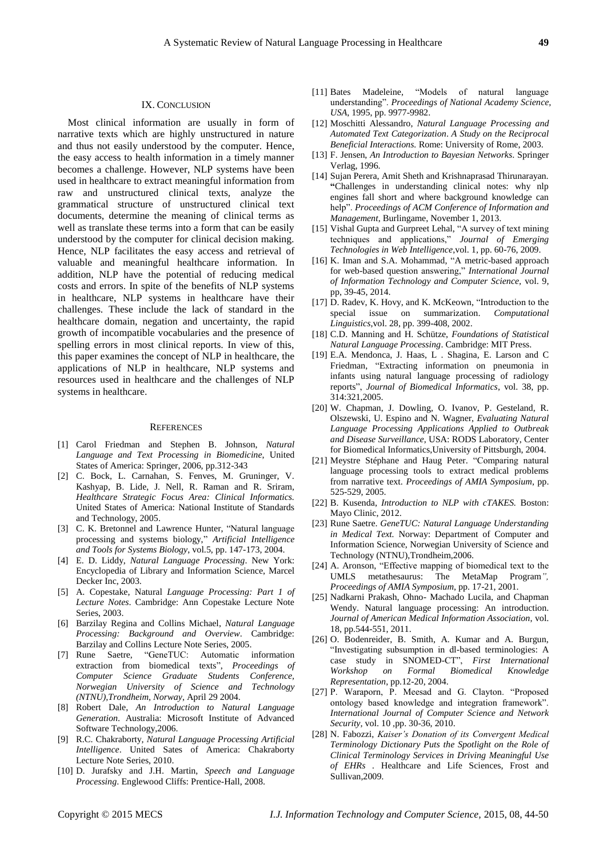#### IX. CONCLUSION

Most clinical information are usually in form of narrative texts which are highly unstructured in nature and thus not easily understood by the computer. Hence, the easy access to health information in a timely manner becomes a challenge. However, NLP systems have been used in healthcare to extract meaningful information from raw and unstructured clinical texts, analyze the grammatical structure of unstructured clinical text documents, determine the meaning of clinical terms as well as translate these terms into a form that can be easily understood by the computer for clinical decision making. Hence, NLP facilitates the easy access and retrieval of valuable and meaningful healthcare information. In addition, NLP have the potential of reducing medical costs and errors. In spite of the benefits of NLP systems in healthcare, NLP systems in healthcare have their challenges. These include the lack of standard in the healthcare domain, negation and uncertainty, the rapid growth of incompatible vocabularies and the presence of spelling errors in most clinical reports. In view of this, this paper examines the concept of NLP in healthcare, the applications of NLP in healthcare, NLP systems and resources used in healthcare and the challenges of NLP systems in healthcare.

#### **REFERENCES**

- [1] Carol Friedman and Stephen B. Johnson, *Natural Language and Text Processing in Biomedicine*, United States of America: Springer, 2006, pp.312-343
- [2] C. Bock, L. Carnahan, S. Fenves, M. Gruninger, V. Kashyap, B. Lide, J. Nell, R. Raman and R. Sriram, *Healthcare Strategic Focus Area: Clinical Informatics.*  United States of America: National Institute of Standards and Technology, 2005.
- [3] C. K. Bretonnel and Lawrence Hunter, "Natural language processing and systems biology," *Artificial Intelligence and Tools for Systems Biology*, vol.5, pp. 147-173, 2004.
- [4] E. D. Liddy, *Natural Language Processing*. New York: Encyclopedia of Library and Information Science, Marcel Decker Inc, 2003.
- [5] A. Copestake, Natural *Language Processing: Part 1 of Lecture Notes*. Cambridge: Ann Copestake Lecture Note Series, 2003.
- [6] Barzilay Regina and Collins Michael, *Natural Language Processing: Background and Overview*. Cambridge: Barzilay and Collins Lecture Note Series, 2005.
- [7] Rune Saetre, "GeneTUC: Automatic information extraction from biomedical texts", *Proceedings of Computer Science Graduate Students Conference, Norwegian University of Science and Technology (NTNU),Trondheim, Norway*, April 29 2004.
- [8] Robert Dale, *An Introduction to Natural Language Generation*. Australia: Microsoft Institute of Advanced Software Technology,2006.
- [9] R.C. Chakraborty*, Natural Language Processing Artificial Intelligence*. United Sates of America: Chakraborty Lecture Note Series, 2010.
- [10] D. Jurafsky and J.H. Martin, *Speech and Language Processing*. Englewood Cliffs: Prentice-Hall, 2008.
- [11] Bates Madeleine, "Models of natural language understanding". *Proceedings of National Academy Science, USA*, 1995, pp. 9977-9982.
- [12] Moschitti Alessandro, *Natural Language Processing and Automated Text Categorization*. *A Study on the Reciprocal Beneficial Interactions.* Rome: University of Rome, 2003.
- [13] F. Jensen, *An Introduction to Bayesian Networks*. Springer Verlag, 1996.
- [14] Sujan Perera, Amit Sheth and Krishnaprasad Thirunarayan. **"**Challenges in understanding clinical notes: why nlp engines fall short and where background knowledge can help". *Proceedings of ACM Conference of Information and Management*, Burlingame, November 1, 2013.
- [15] Vishal Gupta and Gurpreet Lehal, "A survey of text mining techniques and applications," *Journal of Emerging Technologies in Web Intelligence*,vol. 1, pp. 60-76, 2009.
- [16] K. Iman and S.A. Mohammad, "A metric-based approach for web-based question answering," *International Journal of Information Technology and Computer Science,* vol. 9, pp, 39-45, 2014.
- [17] D. Radev, K. Hovy, and K. McKeown, "Introduction to the special issue on summarization. *Computational Linguistics*,vol. 28, pp. 399-408, 2002.
- [18] C.D. Manning and H. Schütze, *Foundations of Statistical Natural Language Processing*. Cambridge: MIT Press.
- [19] E.A. Mendonca, J. Haas, L . Shagina, E. Larson and C Friedman, "Extracting information on pneumonia in infants using natural language processing of radiology reports", *Journal of Biomedical Informatics*, vol. 38, pp. 314:321,2005.
- [20] W. Chapman, J. Dowling, O. Ivanov, P. Gesteland, R. Olszewski, U. Espino and N. Wagner, *Evaluating Natural Language Processing Applications Applied to Outbreak and Disease Surveillance*, USA: RODS Laboratory, Center for Biomedical Informatics,University of Pittsburgh, 2004.
- [21] Meystre Stéphane and Haug Peter. "Comparing natural language processing tools to extract medical problems from narrative text. *Proceedings of AMIA Symposium*, pp. 525-529, 2005.
- [22] B. Kusenda, *Introduction to NLP with cTAKES.* Boston: Mayo Clinic, 2012.
- [23] Rune Saetre. *GeneTUC: Natural Language Understanding in Medical Text.* Norway: Department of Computer and Information Science, Norwegian University of Science and Technology (NTNU),Trondheim,2006.
- [24] A. Aronson, "Effective mapping of biomedical text to the UMLS metathesaurus: The MetaMap Program*", Proceedings of AMIA Symposium*, pp. 17-21, 2001.
- [25] Nadkarni Prakash, Ohno- Machado Lucila, and Chapman Wendy. Natural language processing: An introduction. *Journal of American Medical Information Association*, vol. 18, pp.544-551, 2011.
- [26] O. Bodenreider, B. Smith, A. Kumar and A. Burgun, "Investigating subsumption in dl-based terminologies: A case study in SNOMED-CT", *First International Workshop on Formal Biomedical Knowledge Representation*, pp.12-20, 2004.
- [27] P. Waraporn, P. Meesad and G. Clayton. "Proposed ontology based knowledge and integration framework". *International Journal of Computer Science and Network Security,* vol. 10 ,pp. 30-36, 2010.
- [28] N. Fabozzi, *Kaiser's Donation of its Convergent Medical Terminology Dictionary Puts the Spotlight on the Role of Clinical Terminology Services in Driving Meaningful Use of EHRs .* Healthcare and Life Sciences, Frost and Sullivan,2009*.*